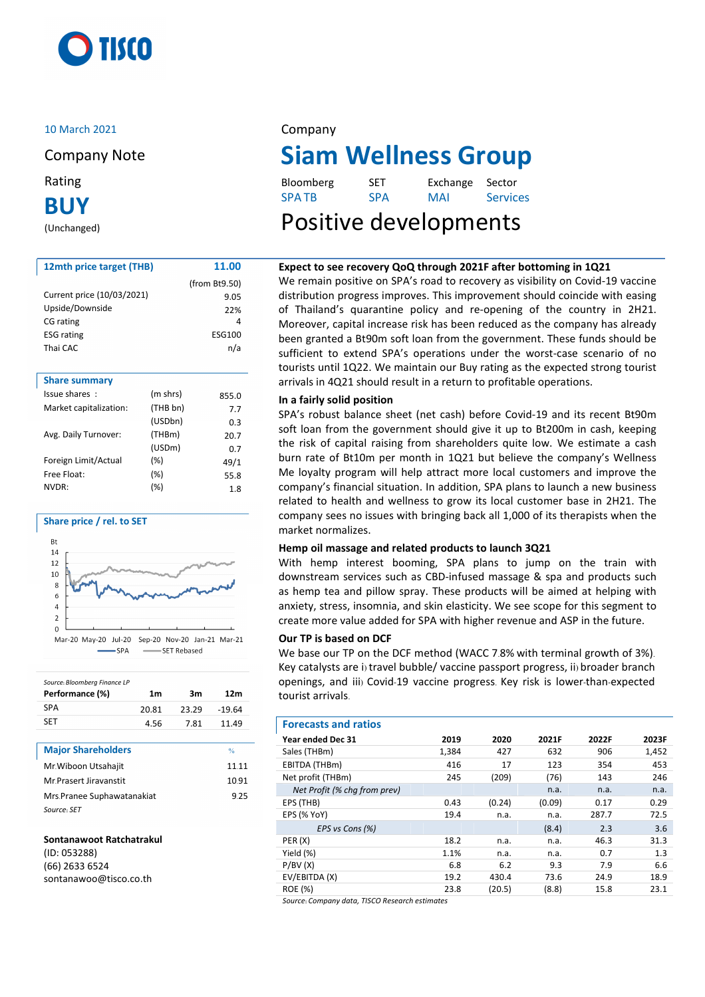

## 10 March 2021 Company

**BUY**

(Unchanged)

| 12mth price target (THB)   |          | 11.00         |
|----------------------------|----------|---------------|
|                            |          | (from Bt9.50) |
| Current price (10/03/2021) |          | 9.05          |
| Upside/Downside            |          | 22%           |
| CG rating                  |          | 4             |
| <b>ESG rating</b>          |          | <b>ESG100</b> |
| Thai CAC                   |          | n/a           |
|                            |          |               |
| <b>Share summary</b>       |          |               |
| Issue shares:              | (m shrs) | 855.0         |
| Market capitalization:     | (THB bn) | 7.7           |
|                            | (USDbn)  | 0.3           |
| Avg. Daily Turnover:       | (THBm)   | 20.7          |
|                            | (USDm)   | 0.7           |
| Foreign Limit/Actual       | $(\%)$   | 49/1          |
| Free Float:                | (%)      | 55.8          |

### **Share price / rel. to SET**



NVDR: (%) 1.8

| Source: Bloomberg Finance LP |                |       |          |
|------------------------------|----------------|-------|----------|
| Performance (%)              | 1 <sub>m</sub> | 3m    | 12m      |
| <b>SPA</b>                   | 20.81          | 23.29 | $-19.64$ |
| <b>SFT</b>                   | 4.56           | 7.81  | 11.49    |

| <b>Major Shareholders</b>  | $\frac{0}{n}$ |
|----------------------------|---------------|
| Mr. Wiboon Utsahajit       | 11 11         |
| Mr.Prasert Jiravanstit     | 1091          |
| Mrs.Pranee Suphawatanakiat | 925           |
| Source: SET                |               |

### **Sontanawoot Ratchatrakul**

(ID: 053288) (66) 2633 6524 sontanawoo@tisco.co.th

# Company Note **Siam Wellness Group**

| Rating | Bloomberg    | <b>SET</b> | Exchange Sector |                 |
|--------|--------------|------------|-----------------|-----------------|
| DI IV  | <b>SPATB</b> | <b>SPA</b> | MAI             | <b>Services</b> |

# Positive developments

# **Expect to see recovery QoQ through 2021F after bottoming in 1Q21**

We remain positive on SPA's road to recovery as visibility on Covid-19 vaccine distribution progress improves. This improvement should coincide with easing of Thailand's quarantine policy and re-opening of the country in 2H21. Moreover, capital increase risk has been reduced as the company has already been granted a Bt90m soft loan from the government. These funds should be sufficient to extend SPA's operations under the worst-case scenario of no tourists until 1Q22. We maintain our Buy rating as the expected strong tourist arrivals in 4Q21 should result in a return to profitable operations.

## **In a fairly solid position**

SPA's robust balance sheet (net cash) before Covid-19 and its recent Bt90m soft loan from the government should give it up to Bt200m in cash, keeping the risk of capital raising from shareholders quite low. We estimate a cash burn rate of Bt10m per month in 1Q21 but believe the company's Wellness Me loyalty program will help attract more local customers and improve the company's financial situation. In addition, SPA plans to launch a new business related to health and wellness to grow its local customer base in 2H21. The company sees no issues with bringing back all 1,000 of its therapists when the market normalizes.

## **Hemp oil massage and related products to launch 3Q21**

With hemp interest booming, SPA plans to jump on the train with downstream services such as CBD-infused massage & spa and products such as hemp tea and pillow spray. These products will be aimed at helping with anxiety, stress, insomnia, and skin elasticity. We see scope for this segment to create more value added for SPA with higher revenue and ASP in the future.

## **Our TP is based on DCF**

We base our TP on the DCF method (WACC 7.8% with terminal growth of 3%). Key catalysts are i) travel bubble/ vaccine passport progress, ii) broader branch openings, and iii) Covid-19 vaccine progress. Key risk is lower-than-expected tourist arrivals.

### **Forecasts and ratios**

| Year ended Dec 31            | 2019  | 2020   | 2021F  | 2022F | 2023F |
|------------------------------|-------|--------|--------|-------|-------|
| Sales (THBm)                 | 1,384 | 427    | 632    | 906   | 1,452 |
| EBITDA (THBm)                | 416   | 17     | 123    | 354   | 453   |
| Net profit (THBm)            | 245   | (209)  | (76)   | 143   | 246   |
| Net Profit (% cha from prev) |       |        | n.a.   | n.a.  | n.a.  |
| EPS (THB)                    | 0.43  | (0.24) | (0.09) | 0.17  | 0.29  |
| <b>EPS (% YoY)</b>           | 19.4  | n.a.   | n.a.   | 287.7 | 72.5  |
| EPS vs Cons (%)              |       |        | (8.4)  | 2.3   | 3.6   |
| PER(X)                       | 18.2  | n.a.   | n.a.   | 46.3  | 31.3  |
| Yield (%)                    | 1.1%  | n.a.   | n.a.   | 0.7   | 1.3   |
| P/BV(X)                      | 6.8   | 6.2    | 9.3    | 7.9   | 6.6   |
| EV/EBITDA (X)                | 19.2  | 430.4  | 73.6   | 24.9  | 18.9  |
| <b>ROE</b> (%)               | 23.8  | (20.5) | (8.8)  | 15.8  | 23.1  |

*Source: Company data, TISCO Research estimates*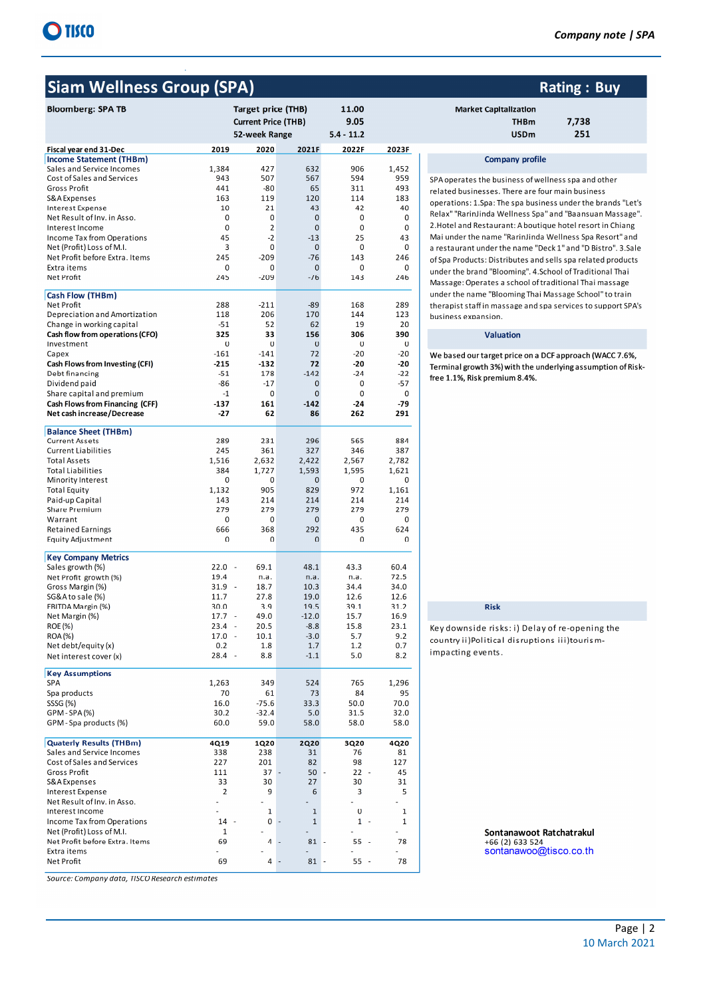# **Siam Wellness Group (SPA)**

| <b>Bloomberg: SPA TB</b>                                 |                          | <b>Target price (THB)</b><br><b>Current Price (THB)</b><br>52-week Range |                 | 11.00<br>9.05<br>$5.4 - 11.2$ |              |
|----------------------------------------------------------|--------------------------|--------------------------------------------------------------------------|-----------------|-------------------------------|--------------|
| Fiscal year end 31-Dec                                   | 2019                     | 2020                                                                     | 2021F           | 2022F                         | 2023F        |
| <b>Income Statement (THBm)</b>                           |                          |                                                                          |                 |                               |              |
| Sales and Service Incomes<br>1,384                       |                          | 427                                                                      | 632             | 906                           | 1,452        |
| Cost of Sales and Services                               | 943                      | 507                                                                      | 567             | 594                           | 959<br>493   |
| <b>Gross Profit</b><br>S&A Expenses                      | 441<br>163               | $-80$<br>119                                                             | 65<br>120       | 311<br>114                    | 183          |
| <b>Interest Expense</b>                                  | 10                       | 21                                                                       | 43              | 42                            | 40           |
| Net Result of Inv. in Asso.                              | 0                        | 0                                                                        | 0               | 0                             | 0            |
| Interest Income                                          | 0                        | $\overline{\mathbf{2}}$                                                  | 0               | 0                             | 0            |
| <b>Income Tax from Operations</b>                        | 45                       | $-2$                                                                     | $-13$           | 25                            | 43           |
| Net (Profit) Loss of M.I.                                | 3                        | 0                                                                        | $\mathbf{0}$    | 0                             | 0            |
| Net Profit before Extra. Items                           | 245                      | $-209$                                                                   | $-76$           | 143                           | 246          |
| Extra items                                              | 0                        | 0                                                                        | 0               | 0                             | 0            |
| Net Profit                                               | 245                      | $-209$                                                                   | $-76$           | 143                           | 246          |
| Cash Flow (THBm)                                         |                          |                                                                          |                 |                               |              |
| <b>Net Profit</b>                                        | 288                      | $-211$                                                                   | $-89$           | 168                           | 289          |
| Depreciation and Amortization                            | 118                      | 206                                                                      | 170             | 144                           | 123          |
| Change in working capital                                | $-51$                    | 52                                                                       | 62              | 19                            | 20           |
| Cash flow from operations (CFO)<br>Investment            | 325<br>0                 | 33<br>0                                                                  | 156<br>0        | 306<br>0                      | 390<br>0     |
| Capex                                                    | $-161$                   | $-141$                                                                   | 72              | $-20$                         | $-20$        |
| <b>Cash Flows from Investing (CFI)</b>                   | $-215$                   | $-132$                                                                   | 72              | $-20$                         | $-20$        |
| Debt financing                                           | $-51$                    | 178                                                                      | $-142$          | $-24$                         | $-22$        |
| Dividend paid                                            | $-86$                    | $-17$                                                                    | 0               | 0                             | $-57$        |
| Share capital and premium                                | $-1$                     | $\mathbf 0$                                                              | $\mathbf 0$     | 0                             | 0            |
| Cash Flows from Financing (CFF)                          | $-137$                   | 161                                                                      | $-142$          | $-24$                         | -79          |
| Net cash increase/Decrease                               | $-27$                    | 62                                                                       | 86              | 262                           | 291          |
| <b>Balance Sheet (THBm)</b>                              |                          |                                                                          |                 |                               |              |
| <b>Current Assets</b>                                    | 289                      | 231                                                                      | 296             | 565                           | 884          |
| <b>Current Liabilities</b>                               | 245                      | 361                                                                      | 327             | 346                           | 387          |
| <b>Total Assets</b><br>1,516                             |                          | 2,632                                                                    | 2,422           | 2,567                         | 2,782        |
| <b>Total Liabilities</b>                                 | 384                      | 1,727                                                                    | 1,593           | 1,595                         | 1,621        |
| <b>Minority Interest</b><br><b>Total Equity</b><br>1,132 | 0                        | 0<br>905                                                                 | 0<br>829        | 0<br>972                      | 0<br>1,161   |
| Paid-up Capital                                          | 143                      | 214                                                                      | 214             | 214                           | 214          |
| <b>Share Premium</b>                                     | 279                      | 279                                                                      | 279             | 279                           | 279          |
| Warrant                                                  | 0                        | 0                                                                        | 0               | 0                             | 0            |
| <b>Retained Earnings</b>                                 | 666                      | 368                                                                      | 292             | 435                           | 624          |
| <b>Equity Adjustment</b>                                 | 0                        | 0                                                                        | 0               | 0                             | 0            |
| <b>Key Company Metrics</b>                               |                          |                                                                          |                 |                               |              |
| Sales growth (%)<br>22.0                                 | $\overline{a}$           | 69.1                                                                     | 48.1            | 43.3                          | 60.4         |
| Net Profit growth (%)<br>19.4                            |                          | n.a.                                                                     | n.a.            | n.a.                          | 72.5         |
| Gross Margin (%)<br>31.9                                 | $\sim$                   | 18.7                                                                     | 10.3            | 34.4                          | 34.0         |
| SG&Ato sale (%)<br>11.7                                  |                          | 27.8                                                                     | 19.0            | 12.6                          | 12.6         |
| EBITDA Margin (%)<br>30.0<br>Net Margin (%)<br>17.7      | $\overline{\phantom{a}}$ | 3.9<br>49.0                                                              | 19.5<br>$-12.0$ | 39.1<br>15.7                  | 31.2<br>16.9 |
| 23.4<br><b>ROE (%)</b>                                   | ä,                       | 20.5                                                                     | $-8.8$          | 15.8                          | 23.1         |
| <b>ROA(%)</b><br>17.0                                    | $\ddot{\phantom{a}}$     | 10.1                                                                     | $-3.0$          | 5.7                           | 9.2          |
| Net debt/equity (x)                                      | 0.2                      | 1.8                                                                      | 1.7             | 1.2                           | 0.7          |
| Net interest cover (x)                                   | 28.4                     | 8.8                                                                      | $-1.1$          | 5.0                           | 8.2          |
| <b>Key Assumptions</b>                                   |                          |                                                                          |                 |                               |              |
| 1,263<br><b>SPA</b>                                      |                          | 349                                                                      | 524             | 765                           | 1,296        |
| Spa products                                             | 70                       | 61                                                                       | 73              | 84                            | 95           |
| SSSG (%)                                                 | 16.0                     | $-75.6$                                                                  | 33.3            | 50.0                          | 70.0         |
| GPM-SPA(%)                                               | 30.2                     | $-32.4$                                                                  | 5.0             | 31.5                          | 32.0         |
| GPM-Spa products (%)                                     | 60.0                     | 59.0                                                                     | 58.0            | 58.0                          | 58.0         |
| <b>Quaterly Results (THBm)</b><br>4Q19                   |                          | 1Q20                                                                     | <b>2Q20</b>     | 3Q20                          | 4Q20         |
| Sales and Service Incomes                                | 338                      | 238                                                                      | 31              | 76                            | 81           |
| Cost of Sales and Services                               | 227                      | 201                                                                      | 82              | 98                            | 127          |
| <b>Gross Profit</b>                                      | 111                      | 37                                                                       | 50              | $22 -$                        | 45           |
| S&A Expenses                                             | 33                       | 30                                                                       | 27              | 30                            | 31           |
| <b>Interest Expense</b>                                  | $\overline{2}$           | 9                                                                        | 6               | 3                             | 5            |
| Net Result of Inv. in Asso.<br>Interest Income           |                          | $\mathbf 1$                                                              | $\mathbf 1$     | $\bf{0}$                      | 1            |
| Income Tax from Operations                               | 14<br>$\sim$             | $\mathbf 0$                                                              | $\mathbf{1}$    | $1 -$                         | 1            |
| Net (Profit) Loss of M.I.                                | $\mathbf{1}$             |                                                                          |                 |                               |              |
| Net Profit before Extra. Items                           | 69                       | 4                                                                        | 81              | $55 -$                        | 78           |
| Extra items                                              |                          |                                                                          |                 |                               |              |
| Net Profit                                               | 69                       | 4                                                                        | 81              | $55 -$                        | 78           |

Source: Company data, TISCO Research estimates

| Company note   SPA |  |  |
|--------------------|--|--|
|--------------------|--|--|

#### **Rating: Buy Market Capitalization** 7,738 **THBm USDm** 251

#### **Company profile**

SPA operates the business of wellness spa and other related businesses. There are four main business operations: 1.Spa: The spa business under the brands "Let's Relax" "RarinJinda Wellness Spa" and "Baansuan Massage". 2. Hotel and Restaurant: A boutique hotel resort in Chiang Mai under the name "RarinJinda Wellness Spa Resort" and a restaurant under the name "Deck 1" and "D Bistro". 3.Sale of Spa Products: Distributes and sells spa related products under the brand "Blooming". 4.School of Traditional Thai Massage: Operates a school of traditional Thai massage under the name "Blooming Thai Massage School" to train therapist staff in massage and spa services to support SPA's business expansion.

#### Valuation

We based our target price on a DCF approach (WACC 7.6%, Terminal growth 3%) with the underlying assumption of Riskfree 1.1%, Risk premium 8.4%.

### Risk

Key downside risks: i) Delay of re-opening the country ii)Political disruptions iii)tourismimpacting events.

> Sontanawoot Ratchatrakul +66 (2) 633 524 sontanawoo@tisco.co.th